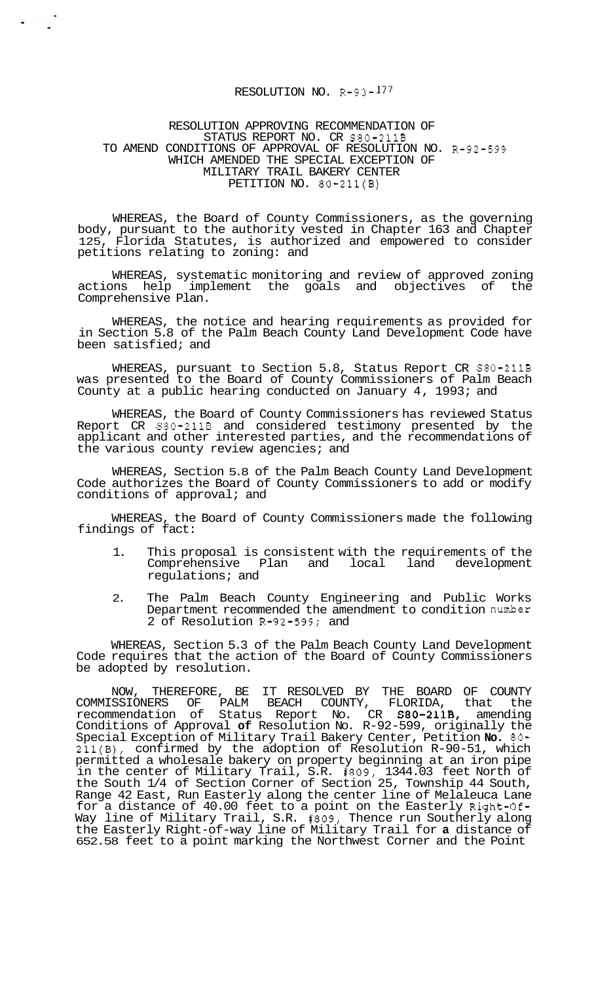## RESOLUTION NO. R-93- <sup>177</sup>

## RESOLUTION APPROVING RECOMMENDATION OF STATUS REPORT NO. CR S80-211B TO AMEND CONDITIONS OF APPROVAL OF RESOLUTION NO. R-92-599 WHICH AMENDED THE SPECIAL EXCEPTION OF MILITARY TRAIL BAKERY CENTER PETITION NO. 80-211(B)

WHEREAS, the Board of County Commissioners, as the governing body, pursuant to the authority vested in Chapter 163 and Chapter 125, Florida Statutes, is authorized and empowered to consider petitions relating to zoning: and

WHEREAS, systematic monitoring and review of approved zoning<br>ons help implement the goals and objectives of the actions help implement the goals and objectives of Comprehensive Plan.

WHEREAS, the notice and hearing requirements as provided for in Section 5.8 of the Palm Beach County Land Development Code have been satisfied; and

WHEREAS, pursuant to Section 5.8, Status Report CR S80-211B was presented to the Board of County Commissioners of Palm Beach County at a public hearing conducted on January 4, 1993; and

WHEREAS, the Board of County Commissioners has reviewed Status Report CR S80-211B and considered testimony presented by the applicant and other interested parties, and the recommendations of the various county review agencies; and

WHEREAS, Section 5.8 of the Palm Beach County Land Development Code authorizes the Board of County Commissioners to add or modify conditions of approval; and

WHEREAS, the Board of County Commissioners made the following findings of fact:

- 1. This proposal is consistent with the requirements of the<br>Comprehensive Plan and local land development Comprehensive Plan and local land regulations; and
- 2. The Palm Beach County Engineering and Public Works Department recommended the amendment to condition number 2 of Resolution R-92-599; and

WHEREAS, Section 5.3 of the Palm Beach County Land Development Code requires that the action of the Board of County Commissioners be adopted by resolution.

NOW, THEREFORE, BE IT RESOLVED BY THE BOARD OF COUNTY COMMISSIONERS OF PALM BEACH COUNTY, FLORIDA, that the recommendation of Status Report No. CR S80-211B, amending Conditions of Approval **of** Resolution No. R-92-599, originally the Special Exception of Military Trail Bakery Center, Petition **No.** *80-*  211(B), confirmed by the adoption of Resolution R-90-51, which permitted a wholesale bakery on property beginning at an iron pipe in the center of Military Trail, S.R. #809, 1344.03 feet North of the South 1/4 of Section Corner of Section 25, Township 44 South, Range 42 East, Run Easterly along the center line of Melaleuca Lane for a distance of 40.00 feet to a point on the Easterly Right-Of-Way line of Military Trail, S.R. #809, Thence run Southerly along the Easterly Right-of-way line of Military Trail for **a** distance of 652.58 feet to a point marking the Northwest Corner and the Point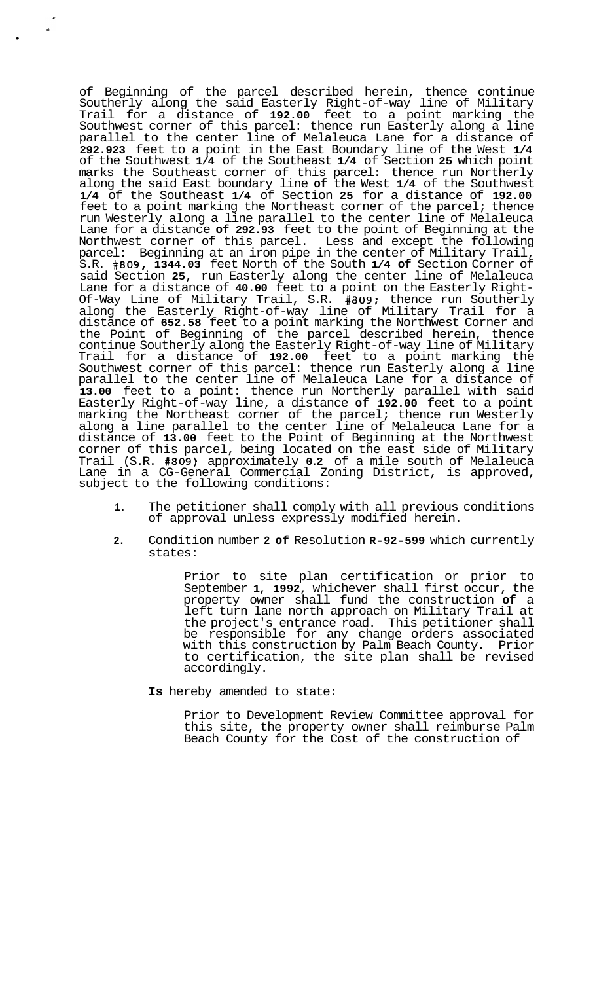of Beginning of the parcel described herein, thence continue Southerly along the said Easterly Right-of-way line of Military Trail for a distance of **192.00** feet to a point marking the Southwest corner of this parcel: thence run Easterly along a line parallel to the center line of Melaleuca Lane for a distance of **292.923** feet to a point in the East Boundary line of the West **1/4**  of the Southwest **1/4** of the Southeast **1/4** of Section **25** which point marks the Southeast corner of this parcel: thence run Northerly along the said East boundary line **of** the West **1/4** of the Southwest **1/4** of the Southeast **1/4** of Section **25** for a distance of **192.00**  feet to a point marking the Northeast corner of the parcel; thence run Westerly along a line parallel to the center line of Melaleuca Lane for a distance **of 292.93** feet to the point of Beginning at the Northwest corner of this parcel. Less and except the following parcel: Beginning at an iron pipe in the center of Military Trail, S.R. **#809, 1344.03** feet North of the South **1/4 of** Section Corner of said Section **25,** run Easterly along the center line of Melaleuca Lane for a distance of **40.00** feet to a point on the Easterly Right- Of-Way Line of Military Trail, S.R. **#809:** thence run Southerly along the Easterly Right-of-way line of Military Trail for a distance of **652.58** feet to a point marking the Northwest Corner and the Point of Beginning of the parcel described herein, thence continue Southerly along the Easterly Right-of-way line of Military Trail for a distance of **192.00** feet to a point marking the Southwest corner of this parcel: thence run Easterly along a line parallel to the center line of Melaleuca Lane for a distance of **13.00** feet to a point: thence run Northerly parallel with said Easterly Right-of-way line, a distance **of 192.00** feet to a point marking the Northeast corner of the parcel; thence run Westerly along a line parallel to the center line of Melaleuca Lane for a distance of **13.00** feet to the Point of Beginning at the Northwest corner of this parcel, being located on the east side of Military Trail (S.R. **#809)** approximately **0.2** of a mile south of Melaleuca Lane in a CG-General Commercial Zoning District, is approved, subject to the following conditions:

 $\Delta$ 

- **1.** The petitioner shall comply with all previous conditions of approval unless expressly modified herein.
- **2.** Condition number **2 of** Resolution **R-92-599** which currently states:

Prior to site plan certification or prior to September **1, 1992,** whichever shall first occur, the property owner shall fund the construction **of** a left turn lane north approach on Military Trail at the project's entrance road. This petitioner shall be responsible for any change orders associated with this construction by Palm Beach County. Prior to certification, the site plan shall be revised accordingly.

**Is** hereby amended to state:

Prior to Development Review Committee approval for this site, the property owner shall reimburse Palm Beach County for the Cost of the construction of